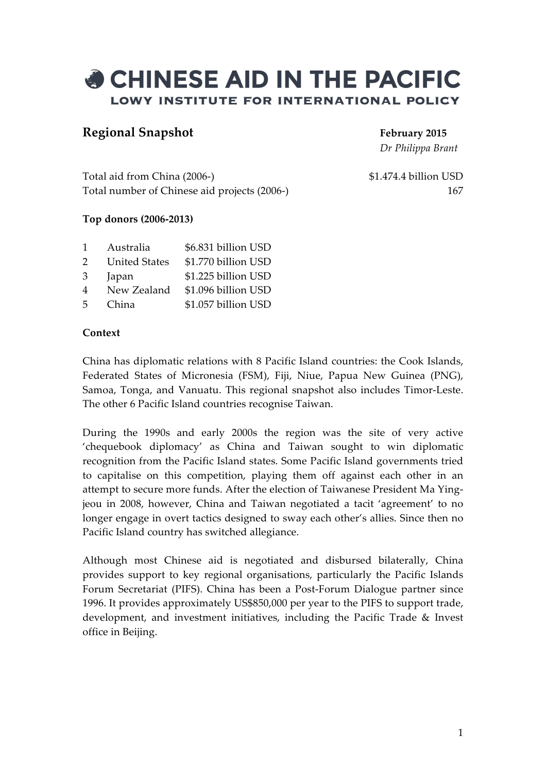

# **Regional Snapshot February 2015**

*Dr Philippa Brant*

Total aid from China (2006-) \$1.474.4 billion USD Total number of Chinese aid projects (2006-) 167

#### **Top donors (2006-2013)**

| 1              | Australia            | \$6.831 billion USD |
|----------------|----------------------|---------------------|
| 2              | <b>United States</b> | \$1.770 billion USD |
| 3              | Japan                | \$1.225 billion USD |
| $\overline{4}$ | New Zealand          | \$1.096 billion USD |
| 5              | China                | \$1.057 billion USD |

#### **Context**

China has diplomatic relations with 8 Pacific Island countries: the Cook Islands, Federated States of Micronesia (FSM), Fiji, Niue, Papua New Guinea (PNG), Samoa, Tonga, and Vanuatu. This regional snapshot also includes Timor-Leste. The other 6 Pacific Island countries recognise Taiwan.

During the 1990s and early 2000s the region was the site of very active 'chequebook diplomacy' as China and Taiwan sought to win diplomatic recognition from the Pacific Island states. Some Pacific Island governments tried to capitalise on this competition, playing them off against each other in an attempt to secure more funds. After the election of Taiwanese President Ma Yingjeou in 2008, however, China and Taiwan negotiated a tacit 'agreement' to no longer engage in overt tactics designed to sway each other's allies. Since then no Pacific Island country has switched allegiance.

Although most Chinese aid is negotiated and disbursed bilaterally, China provides support to key regional organisations, particularly the Pacific Islands Forum Secretariat (PIFS). China has been a Post-Forum Dialogue partner since 1996. It provides approximately US\$850,000 per year to the PIFS to support trade, development, and investment initiatives, including the Pacific Trade & Invest office in Beijing.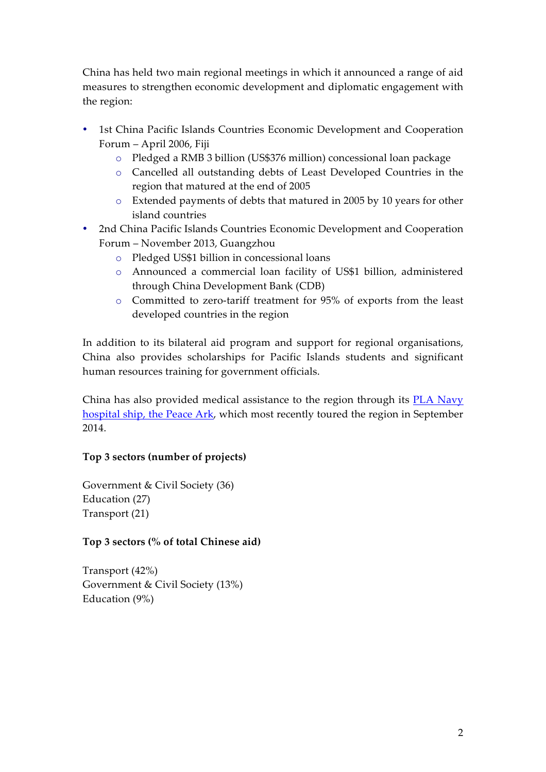China has held two main regional meetings in which it announced a range of aid measures to strengthen economic development and diplomatic engagement with the region:

- 1st China Pacific Islands Countries Economic Development and Cooperation Forum – April 2006, Fiji
	- o Pledged a RMB 3 billion (US\$376 million) concessional loan package
	- o Cancelled all outstanding debts of Least Developed Countries in the region that matured at the end of 2005
	- o Extended payments of debts that matured in 2005 by 10 years for other island countries
- 2nd China Pacific Islands Countries Economic Development and Cooperation Forum – November 2013, Guangzhou
	- o Pledged US\$1 billion in concessional loans
	- o Announced a commercial loan facility of US\$1 billion, administered through China Development Bank (CDB)
	- o Committed to zero-tariff treatment for 95% of exports from the least developed countries in the region

In addition to its bilateral aid program and support for regional organisations, China also provides scholarships for Pacific Islands students and significant human resources training for government officials.

China has also provided medical assistance to the region through its **PLA Navy** hospital ship, the Peace Ark, which most recently toured the region in September 2014.

## **Top 3 sectors (number of projects)**

Government & Civil Society (36) Education (27) Transport (21)

## **Top 3 sectors (% of total Chinese aid)**

Transport (42%) Government & Civil Society (13%) Education (9%)